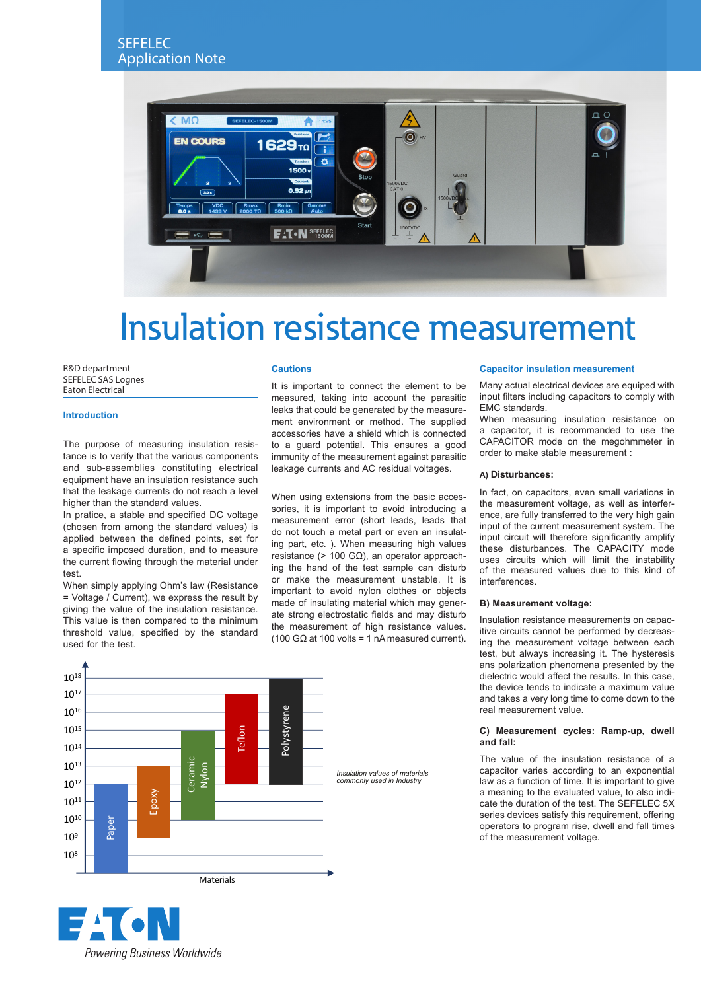

# Insulation resistance measurement

R&D department SEFELEC SAS Lognes Eaton Electrical

## **Introduction**

The purpose of measuring insulation resistance is to verify that the various components and sub-assemblies constituting electrical equipment have an insulation resistance such that the leakage currents do not reach a level higher than the standard values.

In pratice, a stable and specified DC voltage (chosen from among the standard values) is applied between the defined points, set for a specific imposed duration, and to measure the current flowing through the material under test.

When simply applying Ohm's law (Resistance = Voltage / Current), we express the result by giving the value of the insulation resistance. This value is then compared to the minimum threshold value, specified by the standard used for the test.

## **Cautions**

It is important to connect the element to be measured, taking into account the parasitic leaks that could be generated by the measurement environment or method. The supplied accessories have a shield which is connected to a guard potential. This ensures a good immunity of the measurement against parasitic leakage currents and AC residual voltages.

When using extensions from the basic accessories, it is important to avoid introducing a measurement error (short leads, leads that do not touch a metal part or even an insulating part, etc. ). When measuring high values resistance (> 100 GΩ), an operator approaching the hand of the test sample can disturb or make the measurement unstable. It is important to avoid nylon clothes or objects made of insulating material which may generate strong electrostatic fields and may disturb the measurement of high resistance values. (100 GΩ at 100 volts = 1 nA measured current).

## 1018 1017 1016 Polystyrene Polystyrene 1015 Teflon 1014 **Ceramic** 1013 Nylon *Insulation values of materials commonly used in Industry* 1012 Epoxy 1011  $10^{10}$ Paper 109 108 **Materials**



#### **Capacitor insulation measurement**

Many actual electrical devices are equiped with input filters including capacitors to comply with EMC standards.

When measuring insulation resistance on a capacitor, it is recommanded to use the CAPACITOR mode on the megohmmeter in order to make stable measurement :

# **A) Disturbances:**

In fact, on capacitors, even small variations in the measurement voltage, as well as interference, are fully transferred to the very high gain input of the current measurement system. The input circuit will therefore significantly amplify these disturbances. The CAPACITY mode uses circuits which will limit the instability of the measured values due to this kind of interferences.

### **B) Measurement voltage:**

Insulation resistance measurements on capacitive circuits cannot be performed by decreasing the measurement voltage between each test, but always increasing it. The hysteresis ans polarization phenomena presented by the dielectric would affect the results. In this case, the device tends to indicate a maximum value and takes a very long time to come down to the real measurement value.

# **C) Measurement cycles: Ramp-up, dwell and fall:**

The value of the insulation resistance of a capacitor varies according to an exponential law as a function of time. It is important to give a meaning to the evaluated value, to also indicate the duration of the test. The SEFELEC 5X series devices satisfy this requirement, offering operators to program rise, dwell and fall times of the measurement voltage.